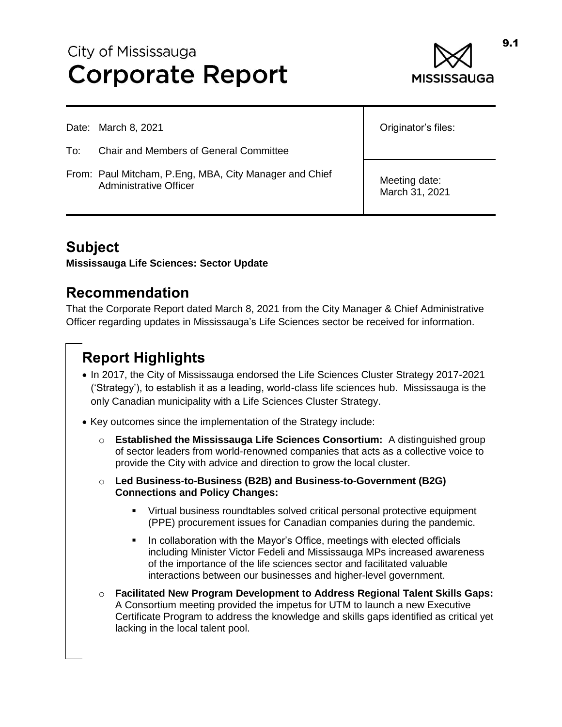# City of Mississauga **Corporate Report**



|     | Date: March 8, 2021                                                              | Originator's files:             |
|-----|----------------------------------------------------------------------------------|---------------------------------|
| To: | <b>Chair and Members of General Committee</b>                                    |                                 |
|     | From: Paul Mitcham, P.Eng, MBA, City Manager and Chief<br>Administrative Officer | Meeting date:<br>March 31, 2021 |

# **Subject**

**Mississauga Life Sciences: Sector Update**

### **Recommendation**

That the Corporate Report dated March 8, 2021 from the City Manager & Chief Administrative Officer regarding updates in Mississauga's Life Sciences sector be received for information.

# **Report Highlights**

- In 2017, the City of Mississauga endorsed the Life Sciences Cluster Strategy 2017-2021 ('Strategy'), to establish it as a leading, world-class life sciences hub. Mississauga is the only Canadian municipality with a Life Sciences Cluster Strategy.
- Key outcomes since the implementation of the Strategy include:
	- o **Established the Mississauga Life Sciences Consortium:** A distinguished group of sector leaders from world-renowned companies that acts as a collective voice to provide the City with advice and direction to grow the local cluster.
	- o **Led Business-to-Business (B2B) and Business-to-Government (B2G) Connections and Policy Changes:**
		- Virtual business roundtables solved critical personal protective equipment (PPE) procurement issues for Canadian companies during the pandemic.
		- In collaboration with the Mayor's Office, meetings with elected officials including Minister Victor Fedeli and Mississauga MPs increased awareness of the importance of the life sciences sector and facilitated valuable interactions between our businesses and higher-level government.
	- o **Facilitated New Program Development to Address Regional Talent Skills Gaps:**  A Consortium meeting provided the impetus for UTM to launch a new Executive Certificate Program to address the knowledge and skills gaps identified as critical yet lacking in the local talent pool.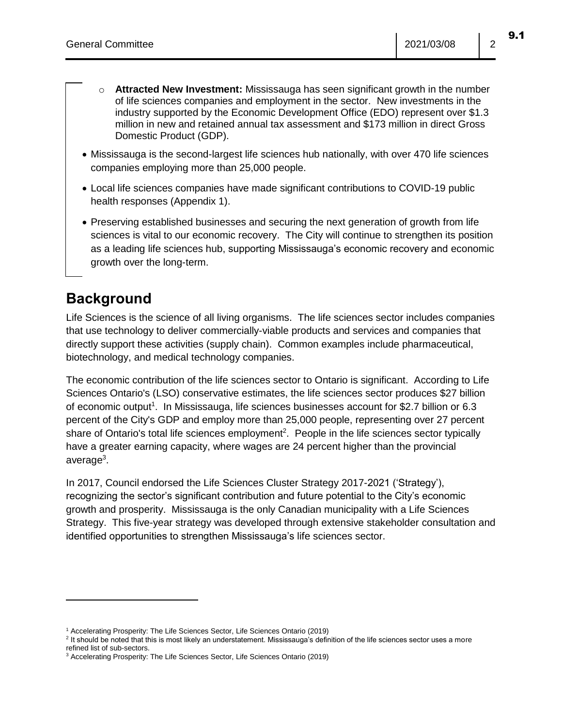- o **Attracted New Investment:** Mississauga has seen significant growth in the number of life sciences companies and employment in the sector. New investments in the industry supported by the Economic Development Office (EDO) represent over \$1.3 million in new and retained annual tax assessment and \$173 million in direct Gross Domestic Product (GDP).
- Mississauga is the second-largest life sciences hub nationally, with over 470 life sciences companies employing more than 25,000 people.
- Local life sciences companies have made significant contributions to COVID-19 public health responses (Appendix 1).
- Preserving established businesses and securing the next generation of growth from life sciences is vital to our economic recovery. The City will continue to strengthen its position as a leading life sciences hub, supporting Mississauga's economic recovery and economic growth over the long-term.

# **Background**

Life Sciences is the science of all living organisms. The life sciences sector includes companies that use technology to deliver commercially-viable products and services and companies that directly support these activities (supply chain). Common examples include pharmaceutical, biotechnology, and medical technology companies.

The economic contribution of the life sciences sector to Ontario is significant. According to Life Sciences Ontario's (LSO) conservative estimates, the life sciences sector produces \$27 billion of economic output<sup>1</sup>. In Mississauga, life sciences businesses account for \$2.7 billion or 6.3 percent of the City's GDP and employ more than 25,000 people, representing over 27 percent share of Ontario's total life sciences employment<sup>2</sup>. People in the life sciences sector typically have a greater earning capacity, where wages are 24 percent higher than the provincial average<sup>3</sup>.

In 2017, Council endorsed the Life Sciences Cluster Strategy 2017-2021 ('Strategy'), recognizing the sector's significant contribution and future potential to the City's economic growth and prosperity. Mississauga is the only Canadian municipality with a Life Sciences Strategy. This five-year strategy was developed through extensive stakeholder consultation and identified opportunities to strengthen Mississauga's life sciences sector.

<sup>&</sup>lt;sup>1</sup> Accelerating Prosperity: The Life Sciences Sector, Life Sciences Ontario (2019)

<sup>&</sup>lt;sup>2</sup> It should be noted that this is most likely an understatement. Mississauga's definition of the life sciences sector uses a more refined list of sub-sectors.

<sup>3</sup> Accelerating Prosperity: The Life Sciences Sector, Life Sciences Ontario (2019)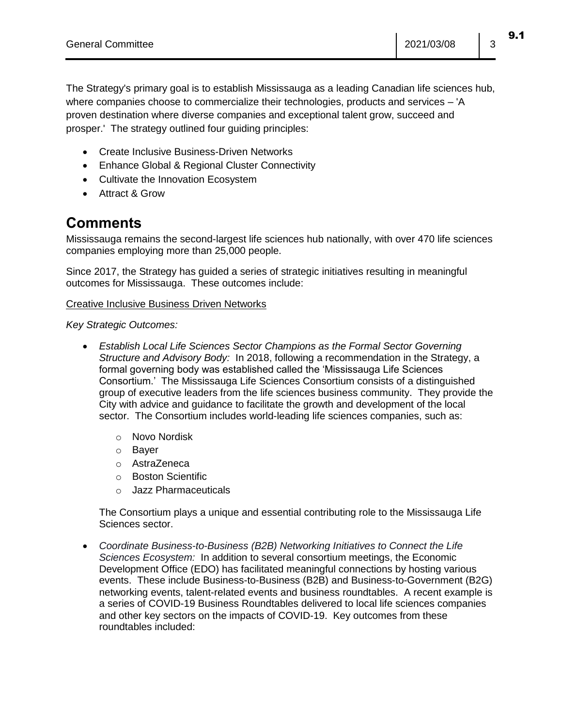The Strategy's primary goal is to establish Mississauga as a leading Canadian life sciences hub, where companies choose to commercialize their technologies, products and services – 'A proven destination where diverse companies and exceptional talent grow, succeed and prosper.' The strategy outlined four guiding principles:

- Create Inclusive Business-Driven Networks
- Enhance Global & Regional Cluster Connectivity
- Cultivate the Innovation Ecosystem
- Attract & Grow

# **Comments**

Mississauga remains the second-largest life sciences hub nationally, with over 470 life sciences companies employing more than 25,000 people.

Since 2017, the Strategy has guided a series of strategic initiatives resulting in meaningful outcomes for Mississauga. These outcomes include:

#### Creative Inclusive Business Driven Networks

*Key Strategic Outcomes:*

- *Establish Local Life Sciences Sector Champions as the Formal Sector Governing Structure and Advisory Body:* In 2018, following a recommendation in the Strategy, a formal governing body was established called the 'Mississauga Life Sciences Consortium.' The Mississauga Life Sciences Consortium consists of a distinguished group of executive leaders from the life sciences business community. They provide the City with advice and guidance to facilitate the growth and development of the local sector. The Consortium includes world-leading life sciences companies, such as:
	- o Novo Nordisk
	- o Bayer
	- o AstraZeneca
	- o Boston Scientific
	- o Jazz Pharmaceuticals

The Consortium plays a unique and essential contributing role to the Mississauga Life Sciences sector.

 *Coordinate Business-to-Business (B2B) Networking Initiatives to Connect the Life Sciences Ecosystem:* In addition to several consortium meetings, the Economic Development Office (EDO) has facilitated meaningful connections by hosting various events. These include Business-to-Business (B2B) and Business-to-Government (B2G) networking events, talent-related events and business roundtables. A recent example is a series of COVID-19 Business Roundtables delivered to local life sciences companies and other key sectors on the impacts of COVID-19. Key outcomes from these roundtables included: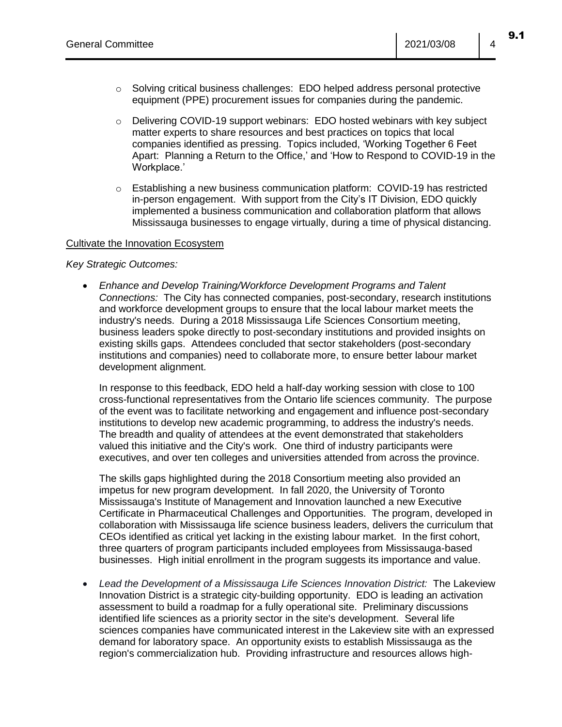- $\circ$  Solving critical business challenges: EDO helped address personal protective equipment (PPE) procurement issues for companies during the pandemic.
- $\circ$  Delivering COVID-19 support webinars: EDO hosted webinars with key subject matter experts to share resources and best practices on topics that local companies identified as pressing. Topics included, 'Working Together 6 Feet Apart: Planning a Return to the Office,' and 'How to Respond to COVID-19 in the Workplace.'
- $\circ$  Establishing a new business communication platform: COVID-19 has restricted in-person engagement. With support from the City's IT Division, EDO quickly implemented a business communication and collaboration platform that allows Mississauga businesses to engage virtually, during a time of physical distancing.

#### Cultivate the Innovation Ecosystem

#### *Key Strategic Outcomes:*

 *Enhance and Develop Training/Workforce Development Programs and Talent Connections:* The City has connected companies, post-secondary, research institutions and workforce development groups to ensure that the local labour market meets the industry's needs. During a 2018 Mississauga Life Sciences Consortium meeting, business leaders spoke directly to post-secondary institutions and provided insights on existing skills gaps. Attendees concluded that sector stakeholders (post-secondary institutions and companies) need to collaborate more, to ensure better labour market development alignment.

In response to this feedback, EDO held a half-day working session with close to 100 cross-functional representatives from the Ontario life sciences community. The purpose of the event was to facilitate networking and engagement and influence post-secondary institutions to develop new academic programming, to address the industry's needs. The breadth and quality of attendees at the event demonstrated that stakeholders valued this initiative and the City's work. One third of industry participants were executives, and over ten colleges and universities attended from across the province.

The skills gaps highlighted during the 2018 Consortium meeting also provided an impetus for new program development. In fall 2020, the University of Toronto Mississauga's Institute of Management and Innovation launched a new Executive Certificate in Pharmaceutical Challenges and Opportunities. The program, developed in collaboration with Mississauga life science business leaders, delivers the curriculum that CEOs identified as critical yet lacking in the existing labour market. In the first cohort, three quarters of program participants included employees from Mississauga-based businesses. High initial enrollment in the program suggests its importance and value.

 *Lead the Development of a Mississauga Life Sciences Innovation District:* The Lakeview Innovation District is a strategic city-building opportunity. EDO is leading an activation assessment to build a roadmap for a fully operational site. Preliminary discussions identified life sciences as a priority sector in the site's development. Several life sciences companies have communicated interest in the Lakeview site with an expressed demand for laboratory space. An opportunity exists to establish Mississauga as the region's commercialization hub. Providing infrastructure and resources allows high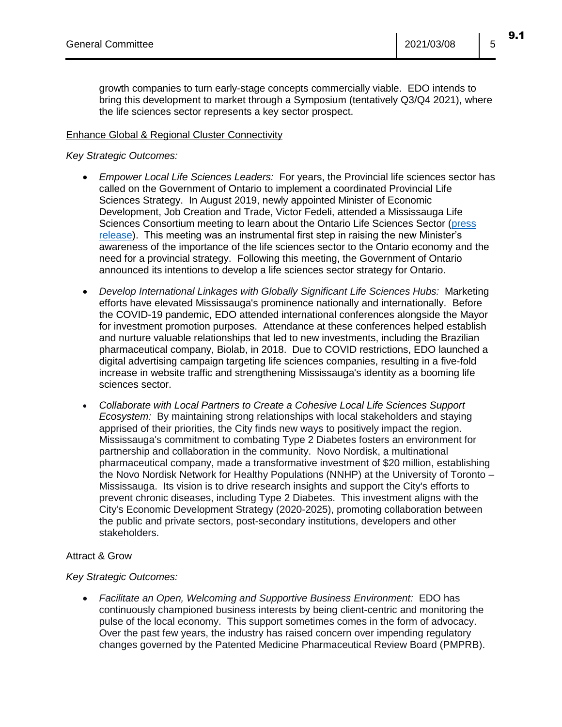growth companies to turn early-stage concepts commercially viable. EDO intends to bring this development to market through a Symposium (tentatively Q3/Q4 2021), where the life sciences sector represents a key sector prospect.

#### Enhance Global & Regional Cluster Connectivity

#### *Key Strategic Outcomes:*

- *Empower Local Life Sciences Leaders:* For years, the Provincial life sciences sector has called on the Government of Ontario to implement a coordinated Provincial Life Sciences Strategy. In August 2019, newly appointed Minister of Economic Development, Job Creation and Trade, Victor Fedeli, attended a Mississauga Life Sciences Consortium meeting to learn about the Ontario Life Sciences Sector [\(press](https://www.mississauga.ca/city-of-mississauga-news/news/city-hosts-consortium-with-leading-experts-to-strengthen-life-sciences-sector-across-the-province-2/)  [release\)](https://www.mississauga.ca/city-of-mississauga-news/news/city-hosts-consortium-with-leading-experts-to-strengthen-life-sciences-sector-across-the-province-2/). This meeting was an instrumental first step in raising the new Minister's awareness of the importance of the life sciences sector to the Ontario economy and the need for a provincial strategy. Following this meeting, the Government of Ontario announced its intentions to develop a life sciences sector strategy for Ontario.
- *Develop International Linkages with Globally Significant Life Sciences Hubs:* Marketing efforts have elevated Mississauga's prominence nationally and internationally. Before the COVID-19 pandemic, EDO attended international conferences alongside the Mayor for investment promotion purposes. Attendance at these conferences helped establish and nurture valuable relationships that led to new investments, including the Brazilian pharmaceutical company, Biolab, in 2018. Due to COVID restrictions, EDO launched a digital advertising campaign targeting life sciences companies, resulting in a five-fold increase in website traffic and strengthening Mississauga's identity as a booming life sciences sector.
- *Collaborate with Local Partners to Create a Cohesive Local Life Sciences Support Ecosystem:* By maintaining strong relationships with local stakeholders and staying apprised of their priorities, the City finds new ways to positively impact the region. Mississauga's commitment to combating Type 2 Diabetes fosters an environment for partnership and collaboration in the community. Novo Nordisk, a multinational pharmaceutical company, made a transformative investment of \$20 million, establishing the Novo Nordisk Network for Healthy Populations (NNHP) at the University of Toronto – Mississauga. Its vision is to drive research insights and support the City's efforts to prevent chronic diseases, including Type 2 Diabetes. This investment aligns with the City's Economic Development Strategy (2020-2025), promoting collaboration between the public and private sectors, post-secondary institutions, developers and other stakeholders.

#### Attract & Grow

#### *Key Strategic Outcomes:*

 *Facilitate an Open, Welcoming and Supportive Business Environment:* EDO has continuously championed business interests by being client-centric and monitoring the pulse of the local economy. This support sometimes comes in the form of advocacy. Over the past few years, the industry has raised concern over impending regulatory changes governed by the Patented Medicine Pharmaceutical Review Board (PMPRB).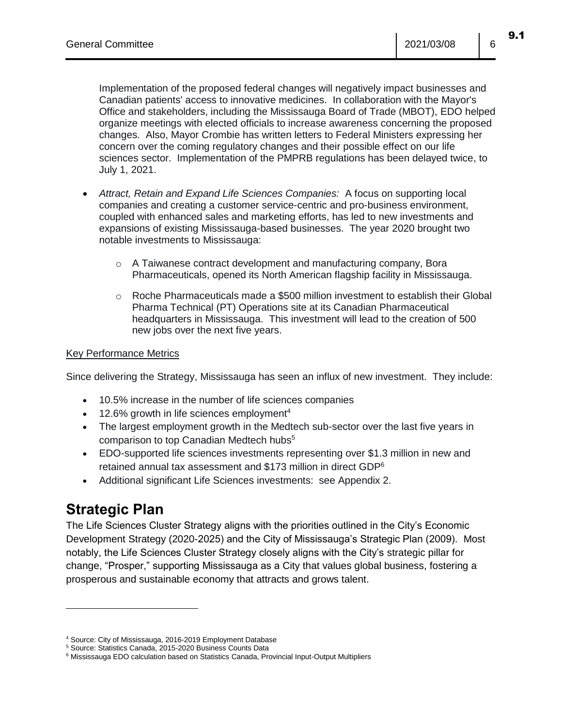Implementation of the proposed federal changes will negatively impact businesses and Canadian patients' access to innovative medicines. In collaboration with the Mayor's Office and stakeholders, including the Mississauga Board of Trade (MBOT), EDO helped organize meetings with elected officials to increase awareness concerning the proposed changes. Also, Mayor Crombie has written letters to Federal Ministers expressing her concern over the coming regulatory changes and their possible effect on our life sciences sector. Implementation of the PMPRB regulations has been delayed twice, to July 1, 2021.

- *Attract, Retain and Expand Life Sciences Companies:* A focus on supporting local companies and creating a customer service-centric and pro-business environment, coupled with enhanced sales and marketing efforts, has led to new investments and expansions of existing Mississauga-based businesses. The year 2020 brought two notable investments to Mississauga:
	- o A Taiwanese contract development and manufacturing company, Bora Pharmaceuticals, opened its North American flagship facility in Mississauga.
	- $\circ$  Roche Pharmaceuticals made a \$500 million investment to establish their Global Pharma Technical (PT) Operations site at its Canadian Pharmaceutical headquarters in Mississauga. This investment will lead to the creation of 500 new jobs over the next five years.

#### Key Performance Metrics

Since delivering the Strategy, Mississauga has seen an influx of new investment. They include:

- 10.5% increase in the number of life sciences companies
- $\bullet$  12.6% growth in life sciences employment<sup>4</sup>
- The largest employment growth in the Medtech sub-sector over the last five years in comparison to top Canadian Medtech hubs<sup>5</sup>
- EDO-supported life sciences investments representing over \$1.3 million in new and retained annual tax assessment and \$173 million in direct GDP<sup>6</sup>
- Additional significant Life Sciences investments: see Appendix 2.

## **Strategic Plan**

 $\overline{a}$ 

The Life Sciences Cluster Strategy aligns with the priorities outlined in the City's Economic Development Strategy (2020-2025) and the City of Mississauga's Strategic Plan (2009). Most notably, the Life Sciences Cluster Strategy closely aligns with the City's strategic pillar for change, "Prosper," supporting Mississauga as a City that values global business, fostering a prosperous and sustainable economy that attracts and grows talent.

<sup>4</sup> Source: City of Mississauga, 2016-2019 Employment Database

<sup>5</sup> Source: Statistics Canada, 2015-2020 Business Counts Data

<sup>6</sup> Mississauga EDO calculation based on Statistics Canada, Provincial Input-Output Multipliers